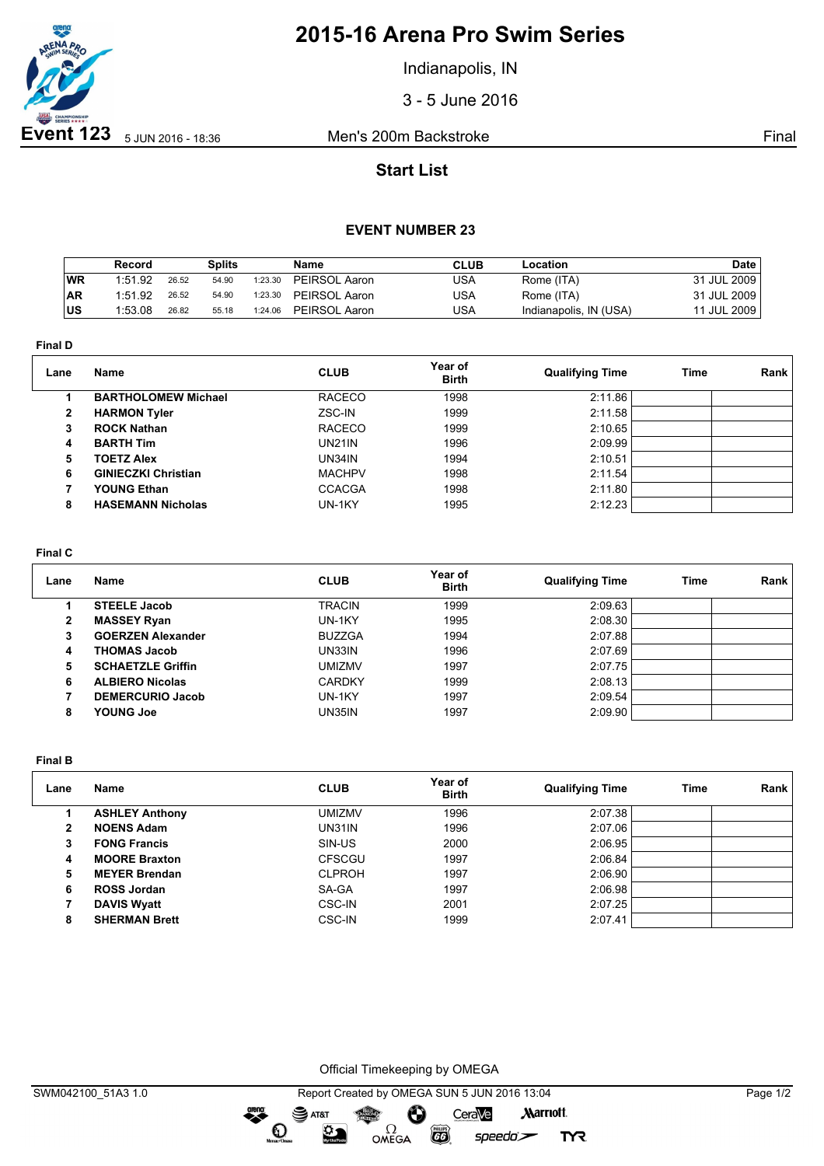

# **2015-16 Arena Pro Swim Series**

Indianapolis, IN

3 - 5 June 2016

## **Start List**

### **EVENT NUMBER 23**

|           | Record  |       | Splits |         | Name          | <b>CLUB</b> | Location               | Date        |
|-----------|---------|-------|--------|---------|---------------|-------------|------------------------|-------------|
| WR        | 1:51.92 | 26.52 | 54.90  | 1:23.30 | PEIRSOL Aaron | USA         | Rome (ITA)             | 31 JUL 2009 |
| <b>AR</b> | 1:51.92 | 26.52 | 54.90  | 1:23.30 | PEIRSOL Aaron | USA         | Rome (ITA)             | 31 JUL 2009 |
| lus       | 1:53.08 | 26.82 | 55.18  | 1:24.06 | PEIRSOL Aaron | USA         | Indianapolis, IN (USA) | 11 JUL 2009 |

**Final D**

| Lane           | Name                       | <b>CLUB</b>   | Year of<br><b>Birth</b> | <b>Qualifying Time</b> | Time | <b>Rank</b> |
|----------------|----------------------------|---------------|-------------------------|------------------------|------|-------------|
|                | <b>BARTHOLOMEW Michael</b> | <b>RACECO</b> | 1998                    | 2:11.86                |      |             |
| $\overline{2}$ | <b>HARMON Tyler</b>        | ZSC-IN        | 1999                    | 2:11.58                |      |             |
| 3              | <b>ROCK Nathan</b>         | <b>RACECO</b> | 1999                    | 2:10.65                |      |             |
| 4              | <b>BARTH Tim</b>           | <b>UN21IN</b> | 1996                    | 2:09.99                |      |             |
| 5.             | <b>TOETZ Alex</b>          | UN34IN        | 1994                    | 2:10.51                |      |             |
| 6              | <b>GINIECZKI Christian</b> | <b>MACHPV</b> | 1998                    | 2:11.54                |      |             |
|                | YOUNG Ethan                | <b>CCACGA</b> | 1998                    | 2:11.80                |      |             |
| 8              | <b>HASEMANN Nicholas</b>   | UN-1KY        | 1995                    | 2:12.23                |      |             |

#### **Final C**

| Lane | Name                     | <b>CLUB</b>   | Year of<br><b>Birth</b> | <b>Qualifying Time</b> | Time | Rank |
|------|--------------------------|---------------|-------------------------|------------------------|------|------|
|      | <b>STEELE Jacob</b>      | <b>TRACIN</b> | 1999                    | 2:09.63                |      |      |
| 2    | <b>MASSEY Ryan</b>       | UN-1KY        | 1995                    | 2:08.30                |      |      |
| 3    | <b>GOERZEN Alexander</b> | <b>BUZZGA</b> | 1994                    | 2:07.88                |      |      |
| 4    | <b>THOMAS Jacob</b>      | UN33IN        | 1996                    | 2:07.69                |      |      |
| 5    | <b>SCHAETZLE Griffin</b> | umizmv        | 1997                    | 2:07.75                |      |      |
| 6    | <b>ALBIERO Nicolas</b>   | <b>CARDKY</b> | 1999                    | 2:08.13                |      |      |
|      | <b>DEMERCURIO Jacob</b>  | UN-1KY        | 1997                    | 2:09.54                |      |      |
| 8    | <b>YOUNG Joe</b>         | UN35IN        | 1997                    | 2:09.90                |      |      |

**Final B**

| Lane | Name                  | <b>CLUB</b>   | Year of<br><b>Birth</b> | <b>Qualifying Time</b> | Time | Rank |
|------|-----------------------|---------------|-------------------------|------------------------|------|------|
|      | <b>ASHLEY Anthony</b> | UMIZMV        | 1996                    | 2:07.38                |      |      |
| 2    | <b>NOENS Adam</b>     | UN31IN        | 1996                    | 2:07.06                |      |      |
| 3    | <b>FONG Francis</b>   | SIN-US        | 2000                    | 2:06.95                |      |      |
| 4    | <b>MOORE Braxton</b>  | <b>CFSCGU</b> | 1997                    | 2:06.84                |      |      |
| 5    | <b>MEYER Brendan</b>  | <b>CLPROH</b> | 1997                    | 2:06.90                |      |      |
| 6    | <b>ROSS Jordan</b>    | SA-GA         | 1997                    | 2:06.98                |      |      |
|      | <b>DAVIS Wyatt</b>    | <b>CSC-IN</b> | 2001                    | 2:07.25                |      |      |
| 8    | <b>SHERMAN Brett</b>  | <b>CSC-IN</b> | 1999                    | 2:07.41                |      |      |

Official Timekeeping by OMEGA

OMEGA

Ô

 $\overline{G}$ 

greng:

 $\mathbf{O}$ 

SAT&T

 $\mathfrak{D}$ 

CeraVe

 $speedo$ 

**Marriott** 

**TYR**